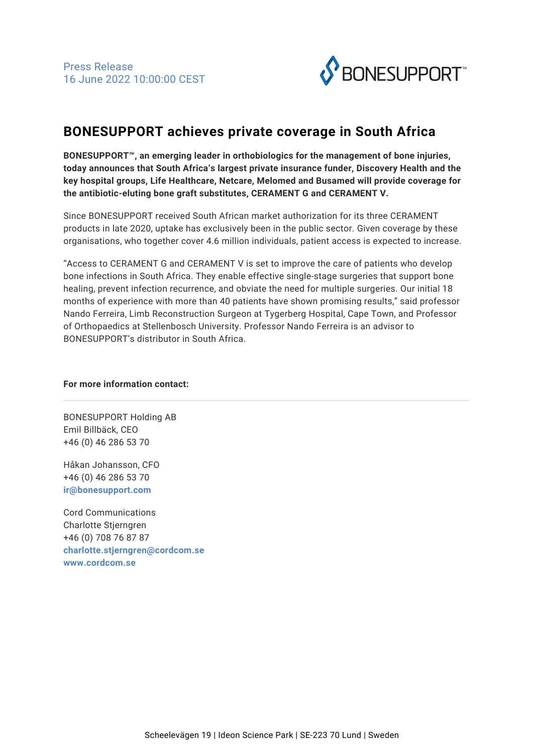

## **BONESUPPORT achieves private coverage in South Africa**

**BONESUPPORT™, an emerging leader in orthobiologics for the management of bone injuries, today announces that South Africa's largest private insurance funder, Discovery Health and the key hospital groups, Life Healthcare, Netcare, Melomed and Busamed will provide coverage for the antibiotic-eluting bone graft substitutes, CERAMENT G and CERAMENT V.**

Since BONESUPPORT received South African market authorization for its three CERAMENT products in late 2020, uptake has exclusively been in the public sector. Given coverage by these organisations, who together cover 4.6 million individuals, patient access is expected to increase.

"Access to CERAMENT G and CERAMENT V is set to improve the care of patients who develop bone infections in South Africa. They enable effective single-stage surgeries that support bone healing, prevent infection recurrence, and obviate the need for multiple surgeries. Our initial 18 months of experience with more than 40 patients have shown promising results," said professor Nando Ferreira, Limb Reconstruction Surgeon at Tygerberg Hospital, Cape Town, and Professor of Orthopaedics at Stellenbosch University. Professor Nando Ferreira is an advisor to BONESUPPORT's distributor in South Africa.

## **For more information contact:**

BONESUPPORT Holding AB Emil Billbäck, CEO +46 (0) 46 286 53 70

Håkan Johansson, CFO +46 (0) 46 286 53 70 **[ir@bonesupport.com](mailto:ir@bonesupport.com)**

Cord Communications Charlotte Stjerngren +46 (0) 708 76 87 87 **[charlotte.stjerngren@cordcom.se](mailto:charlotte.stjerngren@cordcom.se) [www.cordcom.se](http://www.cordcom.se)**